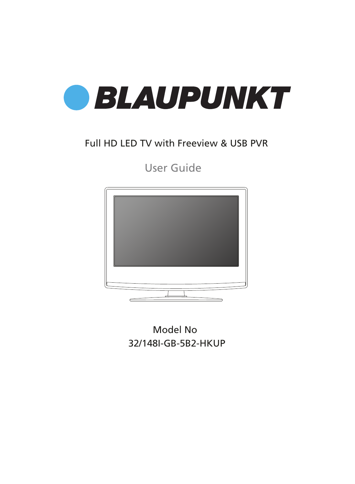

## Full HD LED TV with Freeview & USB PVR

User Guide



32/148I-GB-5B2-HKUP Model No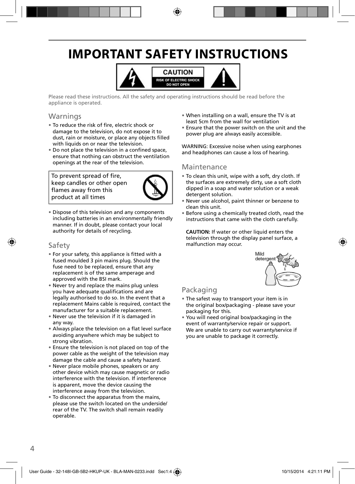# **IMPORTANT SAFETY INSTRUCTIONS**



Please read these instructions. All the safety and operating instructions should be read before the appliance is operated.

### Warnings

- To reduce the risk of fire, electric shock or damage to the television, do not expose it to dust, rain or moisture, or place any objects filled with liquids on or near the television.
- Do not place the television in a confined space, ensure that nothing can obstruct the ventilation openings at the rear of the television.

To prevent spread of fire, keep candles or other open flames away from this product at all times



• Dispose of this television and any components including batteries in an environmentally friendly manner. If in doubt, please contact your local authority for details of recycling.

### Safety

- For your safety, this appliance is fitted with a fused moulded 3 pin mains plug. Should the fuse need to be replaced, ensure that any replacement is of the same amperage and approved with the BSI mark.
- Never try and replace the mains plug unless you have adequate qualifications and are legally authorised to do so. In the event that a replacement Mains cable is required, contact the manufacturer for a suitable replacement.
- Never use the television if it is damaged in any way.
- Always place the television on a flat level surface avoiding anywhere which may be subject to strong vibration.
- Ensure the television is not placed on top of the power cable as the weight of the television may damage the cable and cause a safety hazard.
- Never place mobile phones, speakers or any other device which may cause magnetic or radio interference with the television. If interference is apparent, move the device causing the interference away from the television.
- To disconnect the apparatus from the mains, please use the switch located on the underside/ rear of the TV. The switch shall remain readily operable.
- When installing on a wall, ensure the TV is at least 5cm from the wall for ventilation
- Ensure that the power switch on the unit and the power plug are always easily accessible.

WARNING: Excessive noise when using earphones and headphones can cause a loss of hearing.

### Maintenance

- To clean this unit, wipe with a soft, dry cloth. If the surfaces are extremely dirty, use a soft cloth dipped in a soap and water solution or a weak detergent solution.
- Never use alcohol, paint thinner or benzene to clean this unit.
- Before using a chemically treated cloth, read the instructions that came with the cloth carefully.

**CAUTION:** If water or other liquid enters the television through the display panel surface, a malfunction may occur.



## Packaging

- The safest way to transport your item is in the original box/packaging - please save your packaging for this.
- You will need original box/packaging in the event of warranty/service repair or support. We are unable to carry out warranty/service if you are unable to package it correctly.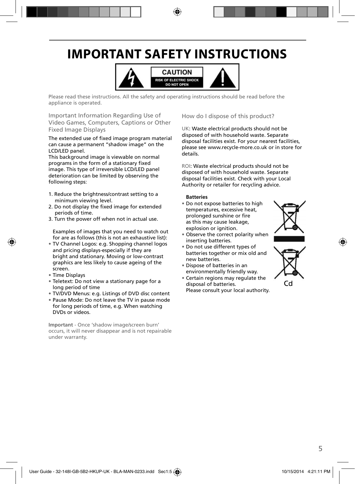# **IMPORTANT SAFETY INSTRUCTIONS**



Please read these instructions. All the safety and operating instructions should be read before the appliance is operated.

Important Information Regarding Use of Video Games, Computers, Captions or Other Fixed Image Displays

The extended use of fixed image program material can cause a permanent "shadow image" on the LCD/LED panel.

This background image is viewable on normal programs in the form of a stationary fixed image. This type of irreversible LCD/LED panel deterioration can be limited by observing the following steps:

- 1. Reduce the brightness/contrast setting to a minimum viewing level.
- 2. Do not display the fixed image for extended periods of time.
- 3. Turn the power off when not in actual use.

Examples of images that you need to watch out for are as follows (this is not an exhaustive list):

- TV Channel Logos: e.g. Shopping channel logos and pricing displays-especially if they are bright and stationary. Moving or low-contrast graphics are less likely to cause ageing of the screen.
- Time Displays
- Teletext: Do not view a stationary page for a long period of time
- TV/DVD Menus: e.g. Listings of DVD disc content
- Pause Mode: Do not leave the TV in pause mode for long periods of time, e.g. When watching DVDs or videos.

**Important** - Once 'shadow image/screen burn' occurs, it will never disappear and is not repairable under warranty.

How do I dispose of this product?

UK: Waste electrical products should not be disposed of with household waste. Separate disposal facilities exist. For your nearest facilities, please see www.recycle-more.co.uk or in store for details.

ROI: Waste electrical products should not be disposed of with household waste. Separate disposal facilities exist. Check with your Local Authority or retailer for recycling advice.

#### **Batteries**

• Do not expose batteries to high temperatures, excessive heat, prolonged sunshine or fire as this may cause leakage, explosion or ignition.



- Observe the correct polarity when inserting batteries.
- Do not use different types of batteries together or mix old and new batteries.
- Dispose of batteries in an environmentally friendly way.
- Certain regions may regulate the disposal of batteries. Please consult your local authority.

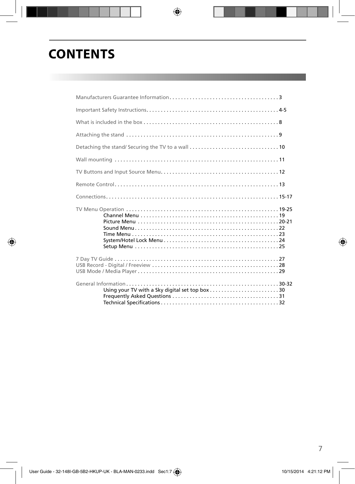# **CONTENTS**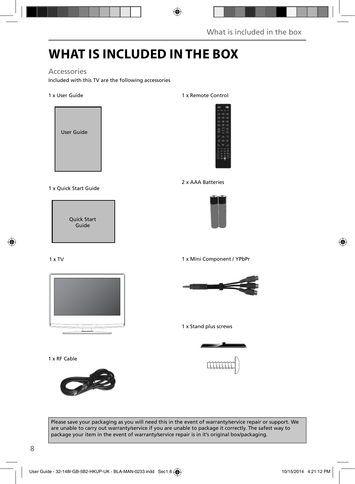# **WHAT IS INCLUDED IN THE BOX**

### Accessories

Included with this TV are the following accessories

1 x User Guide



### 1 x Quick Start Guide



### 1 x Remote Control



### 2 x AAA Batteries



1 x TV



1 x Mini Component / YPbPr



1 x Stand plus screws



1 x RF Cable



Please save your packaging as you will need this in the event of warranty/service repair or support. We are unable to carry out warranty/service if you are unable to package it correctly. The safest way to package your item in the event of warranty/service repair is in it's original box/packaging.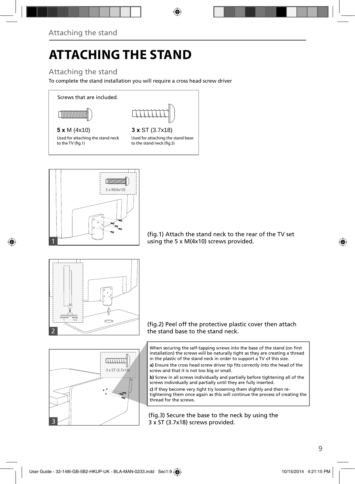# **ATTACHING THE STAND**

## Attaching the stand

To complete the stand installation you will require a cross head screw driver



### **5 x** M (4x10) **3 x** ST (3.7x18)

Used for attaching the stand neck to the TV (fig.1)

Used for attaching the stand base to the stand neck (fig.3)



(fig.1) Attach the stand neck to the rear of the TV set using the 5 x M(4x10) screws provided.





When securing the self-tapping screws into the base of the stand (on first installation) the screws will be naturally tight as they are creating a thread in the plastic of the stand neck in order to support a TV of this size.

a) Ensure the cross head screw driver tip fits correctly into the head of the screw and that it is not too big or small.

**b)** Screw in all screws individually and partially before tightening all of the screws individually and partially until they are fully inserted.

**c)** If they become very tight try loosening them slightly and then retightening them once again as this will continue the process of creating the thread for the screws.

(fig.3) Secure the base to the neck by using the 3 x ST (3.7x18) screws provided.

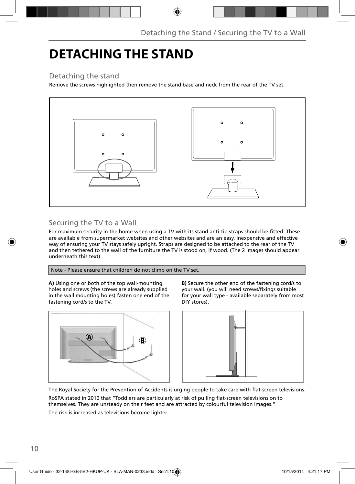# **DETACHING THE STAND**

## Detaching the stand

Remove the screws highlighted then remove the stand base and neck from the rear of the TV set.



## Securing the TV to a Wall

For maximum security in the home when using a TV with its stand anti-tip straps should be fitted. These are available from supermarket websites and other websites and are an easy, inexpensive and effective way of ensuring your TV stays safely upright. Straps are designed to be attached to the rear of the TV and then tethered to the wall of the furniture the TV is stood on, if wood. (The 2 images should appear underneath this text).

### Note - Please ensure that children do not climb on the TV set.

**A)** Using one or both of the top wall-mounting holes and screws (the screws are already supplied in the wall mounting holes) fasten one end of the fastening cord/s to the TV.



**B)** Secure the other end of the fastening cord/s to your wall. (you will need screws/fixings suitable for your wall type - available separately from most DIY stores).



The Royal Society for the Prevention of Accidents is urging people to take care with flat-screen televisions.

RoSPA stated in 2010 that "Toddlers are particularly at risk of pulling flat-screen televisions on to themselves. They are unsteady on their feet and are attracted by colourful television images."

The risk is increased as televisions become lighter.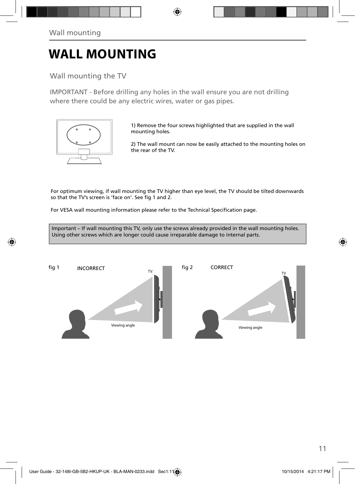# **WALL MOUNTING**

Wall mounting the TV

IMPORTANT - Before drilling any holes in the wall ensure you are not drilling where there could be any electric wires, water or gas pipes.



1) Remove the four screws highlighted that are supplied in the wall mounting holes.

2) The wall mount can now be easily attached to the mounting holes on the rear of the TV.

For optimum viewing, if wall mounting the TV higher than eye level, the TV should be tilted downwards so that the TV's screen is 'face on'. See fig 1 and 2.

For VESA wall mounting information please refer to the Technical Specification page.

Important – If wall mounting this TV, only use the screws already provided in the wall mounting holes. Using other screws which are longer could cause irreparable damage to internal parts.

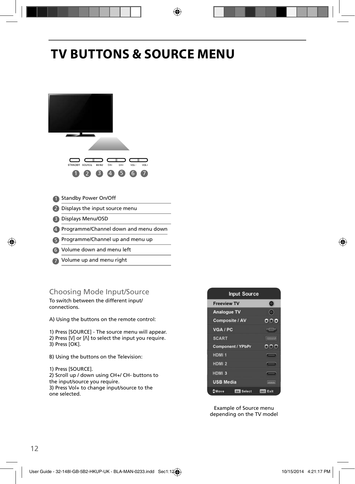# **TV BUTTONS & SOURCE MENU**



- Volume down and menu left 6
- Volume up and menu right 7

## Choosing Mode Input/Source

To switch between the different input/ connections.

A) Using the buttons on the remote control:

1) Press [SOURCE] - The source menu will appear. 2) Press  $[V]$  or  $[\Lambda]$  to select the input you require.

3) Press [OK].

B) Using the buttons on the Television:

1) Press [SOURCE].

2) Scroll up / down using CH+/ CH- buttons to the input/source you require.

3) Press Vol+ to change input/source to the one selected.



Example of Source menu depending on the TV model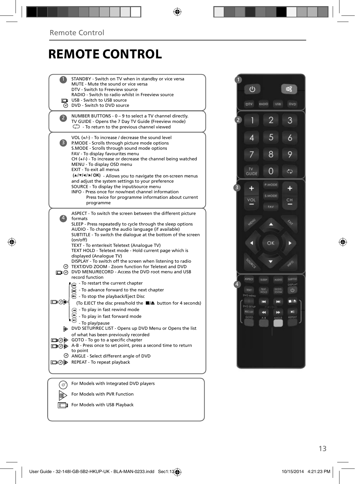# **REMOTE CONTROL**

|                   | STANDBY - Switch on TV when in standby or vice versa<br>MUTE - Mute the sound or vice versa<br>DTV - Switch to Freeview source                                                                                                                                                                                                                                                     |  |
|-------------------|------------------------------------------------------------------------------------------------------------------------------------------------------------------------------------------------------------------------------------------------------------------------------------------------------------------------------------------------------------------------------------|--|
|                   | RADIO - Switch to radio whilst in Freeview source<br>USB - Switch to USB source<br>O DVD - Switch to DVD source                                                                                                                                                                                                                                                                    |  |
| $\overline{2}$    | NUMBER BUTTONS - 0 - 9 to select a TV channel directly.<br>TV GUIDE - Opens the 7 Day TV Guide (Freeview mode)<br>$\mathbb{C}$ To return to the previous channel viewed                                                                                                                                                                                                            |  |
| 3)                | VOL $(+/-)$ - To increase / decrease the sound level<br>P.MODE - Scrolls through picture mode options<br>S.MODE - Scrolls through sound mode options<br>FAV - To display favourites menu<br>$CH (+/-)$ - To increase or decrease the channel being watched<br>MENU - To display OSD menu<br>EXIT - To exit all menus                                                               |  |
|                   | (A/V/4/M/OK) - Allows you to navigate the on-screen menus<br>and adjust the system settings to your preference<br>SOURCE - To display the input/source menu<br>INFO - Press once for now/next channel information<br>Press twice for programme information about current<br>programme                                                                                              |  |
| $\vert 4 \rangle$ | ASPECT - To switch the screen between the different picture<br>formats<br>SLEEP - Press repeatedly to cycle through the sleep options<br>AUDIO - To change the audio language (if available)<br>SUBTITLE - To switch the dialogue at the bottom of the screen<br>(on/off)<br>TEXT - To enter/exit Teletext (Analogue TV)<br>TEXT HOLD - Teletext mode - Hold current page which is |  |
|                   | displayed (Analoque TV)<br>DISPLAY - To switch off the screen when listening to radio<br>© TEXT/DVD ZOOM - Zoom function for Teletext and DVD<br>DVD MENU/RECORD - Access the DVD root menu and USB<br>record function                                                                                                                                                             |  |
| య⊚⊡               | - To restart the current chapter<br>To advance forward to the next chapter<br>$\textcircled{1}$ - To stop the playback/Eject Disc<br>(To EJECT the disc press/hold the ■▲ button for 4 seconds)<br>- To play in fast rewind mode<br>- To play in fast forward mode                                                                                                                 |  |
|                   | - To play/pause<br>DVD SETUP/REC LIST - Opens up DVD Menu or Opens the list<br>of what has been previously recorded<br>□ ⊙ > GOTO - To go to a specific chapter<br>A-B - Press once to set point, press a second time to return<br>to point<br>ANGLE - Select different angle of DVD                                                                                               |  |
|                   | □ ⑦ ID REPEAT - To repeat playback                                                                                                                                                                                                                                                                                                                                                 |  |
| (ഗ                | For Models with Integrated DVD players                                                                                                                                                                                                                                                                                                                                             |  |

For Models with PVR Function For Models with USB Playback

 $\mathbb{D}$ 

![](_page_9_Picture_3.jpeg)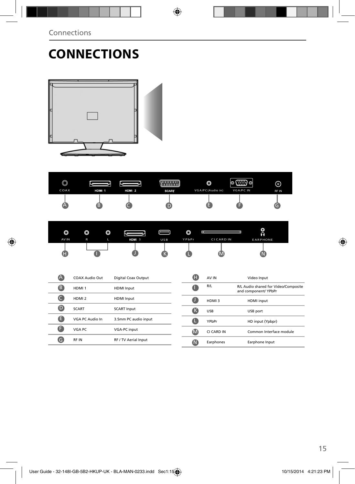# **CONNECTIONS**

![](_page_10_Picture_2.jpeg)

| O<br>COAX             | HDM 1                 | Ѥ<br>HDM 2           | <b>WWW.WI</b><br><b>SCART</b> |                   | O<br>VGA/PC(Audio in) | (⊞9⊙<br>ko)<br>VGA/PC IN | ⊚<br>RF IN                           |
|-----------------------|-----------------------|----------------------|-------------------------------|-------------------|-----------------------|--------------------------|--------------------------------------|
| A                     | B                     |                      | D                             |                   |                       |                          | G                                    |
|                       |                       |                      |                               |                   | Ē                     |                          | O                                    |
| O<br>AV IN            | O<br>O<br>L<br>R      | Ѥ<br>HDM 3           | USB                           | O<br>YPbPr        | <b>CICARD IN</b>      |                          | Ā<br><b>EARPHONE</b>                 |
|                       |                       |                      |                               |                   |                       |                          |                                      |
| Œ                     |                       |                      | K                             |                   |                       |                          |                                      |
|                       |                       |                      |                               |                   |                       |                          |                                      |
| A                     | <b>COAX Audio Out</b> | Digital Coax Output  |                               | Ð                 | AV IN                 | Video Input              |                                      |
| 8                     | HDMI <sub>1</sub>     | <b>HDMI</b> Input    |                               | a                 | R/L                   | and component/ YPbPr     | R/L Audio shared for Video/Composite |
| $\bullet$             | HDMI <sub>2</sub>     | <b>HDMI</b> Input    |                               | a                 | HDMI3                 | <b>HDMI</b> input        |                                      |
| $\boldsymbol{\Theta}$ | <b>SCART</b>          | <b>SCART Input</b>   |                               | $\bf G$           | <b>USB</b>            | USB port                 |                                      |
| ❶                     | VGA PC Audio In       | 3.5mm PC audio input |                               | Q                 | YPbPr                 |                          | HD input (Ypbpr)                     |
| O                     | VGA PC                | VGA-PC input         |                               | $\mathbf{\Omega}$ | CI CARD IN            |                          | Common Interface module              |
| Θ                     | RF IN                 | RF / TV Aerial Input |                               | $\bf \Omega$      | Earphones             |                          | Earphone Input                       |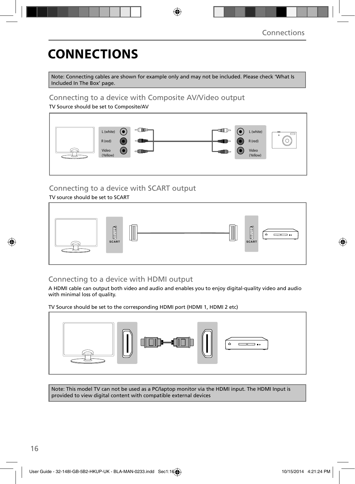# **CONNECTIONS**

Note: Connecting cables are shown for example only and may not be included. Please check 'What Is Included In The Box' page.

### Connecting to a device with Composite AV/Video output

TV Source should be set to Composite/AV

![](_page_11_Figure_5.jpeg)

## Connecting to a device with SCART output

TV source should be set to SCART

![](_page_11_Figure_8.jpeg)

## Connecting to a device with HDMI output

A HDMI cable can output both video and audio and enables you to enjoy digital-quality video and audio with minimal loss of quality.

TV Source should be set to the corresponding HDMI port (HDMI 1, HDMI 2 etc)

![](_page_11_Figure_12.jpeg)

Note: This model TV can not be used as a PC/laptop monitor via the HDMI input. The HDMI Input is provided to view digital content with compatible external devices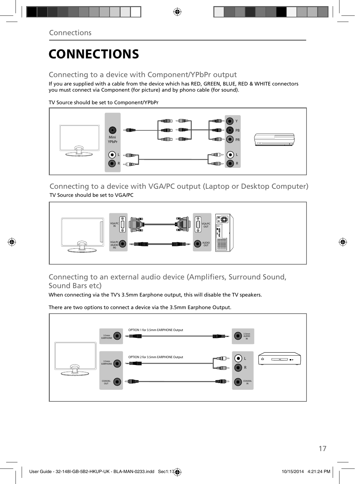# **CONNECTIONS**

## Connecting to a device with Component/YPbPr output

If you are supplied with a cable from the device which has RED, GREEN, BLUE, RED & WHITE connectors you must connect via Component (for picture) and by phono cable (for sound).

TV Source should be set to Component/YPbPr

![](_page_12_Figure_5.jpeg)

Connecting to a device with VGA/PC output (Laptop or Desktop Computer) TV Source should be set to VGA/PC

![](_page_12_Figure_7.jpeg)

## Connecting to an external audio device (Amplifiers, Surround Sound, Sound Bars etc)

When connecting via the TV's 3.5mm Earphone output, this will disable the TV speakers.

There are two options to connect a device via the 3.5mm Earphone Output.

![](_page_12_Figure_11.jpeg)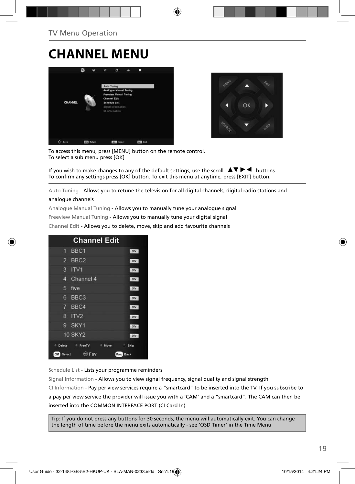# **CHANNEL MENU**

![](_page_13_Picture_2.jpeg)

![](_page_13_Picture_3.jpeg)

To access this menu, press [MENU] button on the remote control. To select a sub menu press [OK]

If you wish to make changes to any of the default settings, use the scroll  $\blacktriangle \blacktriangledown \blacktriangleright \blacktriangleleft$  buttons. To confirm any settings press [OK] button. To exit this menu at anytime, press [EXIT] button.

Auto Tuning - Allows you to retune the television for all digital channels, digital radio stations and

#### analogue channels

Analogue Manual Tuning - Allows you to manually tune your analogue signal

Freeview Manual Tuning - Allows you to manually tune your digital signal

Channel Edit - Allows you to delete, move, skip and add favourite channels

|                | <b>Channel Edit</b>                      |              |
|----------------|------------------------------------------|--------------|
| 9              | BBC <sub>1</sub>                         | otv          |
| $\overline{2}$ | BBC <sub>2</sub>                         | otv          |
| 3              | ITV1                                     | otv          |
| 4              | Channel 4                                | <b>OTV</b>   |
| 5              | five                                     | <b>DIV</b>   |
| 6              | BBC <sub>3</sub>                         | onv          |
| 7              | BBC4                                     | otv          |
| 8              | ITV2                                     | orv          |
| g              | SKY1                                     | onv          |
|                | <b>10 SKY2</b>                           | orv          |
| Delete         | <sup>n</sup> FreeTV<br>$\bullet$<br>Move | Skip<br>٠.   |
| OK<br>Select   | () Fav                                   | Menu<br>Back |

Schedule List - Lists your programme reminders

Signal Information - Allows you to view signal frequency, signal quality and signal strength CI Information - Pay per view services require a "smartcard" to be inserted into the TV. If you subscribe to a pay per view service the provider will issue you with a 'CAM' and a "smartcard". The CAM can then be inserted into the COMMON INTERFACE PORT (CI Card In)

Tip: If you do not press any buttons for 30 seconds, the menu will automatically exit. You can change the length of time before the menu exits automatically - see 'OSD Timer' in the Time Menu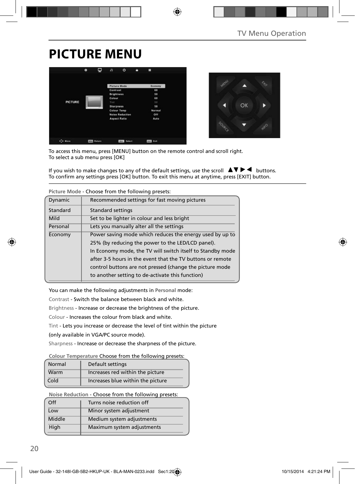# **PICTURE MENU**

![](_page_14_Picture_2.jpeg)

![](_page_14_Picture_3.jpeg)

To access this menu, press [MENU] button on the remote control and scroll right. To select a sub menu press [OK]

If you wish to make changes to any of the default settings, use the scroll  $\blacktriangle \blacktriangledown \blacktriangleright \blacktriangleleft$  buttons. To confirm any settings press [OK] button. To exit this menu at anytime, press [EXIT] button.

| Ficture Mode - Choose from the following presets.    |                                                            |  |  |
|------------------------------------------------------|------------------------------------------------------------|--|--|
| Dynamic                                              | Recommended settings for fast moving pictures              |  |  |
| Standard                                             | Standard settings                                          |  |  |
| Mild                                                 | Set to be lighter in colour and less bright                |  |  |
| Personal<br>Lets you manually alter all the settings |                                                            |  |  |
| Economy                                              | Power saving mode which reduces the energy used by up to   |  |  |
|                                                      | 25% (by reducing the power to the LED/LCD panel).          |  |  |
|                                                      | In Economy mode, the TV will switch itself to Standby mode |  |  |
|                                                      | after 3-5 hours in the event that the TV buttons or remote |  |  |
|                                                      | control buttons are not pressed (change the picture mode   |  |  |
|                                                      | to another setting to de-activate this function)           |  |  |

**Picture Mode** - Choose from the following presets:

You can make the following adjustments in **Personal** mode:

Contrast - Switch the balance between black and white.

Brightness - Increase or decrease the brightness of the picture.

Colour - Increases the colour from black and white.

Tint - Lets you increase or decrease the level of tint within the picture

(only available in VGA/PC source mode).

Sharpness - Increase or decrease the sharpness of the picture.

#### **Colour Temperature** Choose from the following presets:

| Normal | Default settings                  |
|--------|-----------------------------------|
| Warm   | Increases red within the picture  |
| Cold   | Increases blue within the picture |

**Noise Reduction** - Choose from the following presets:

| Off    | Turns noise reduction off  |
|--------|----------------------------|
| Low    | Minor system adjustment    |
| Middle | Medium system adjustments  |
| High   | Maximum system adjustments |
|        |                            |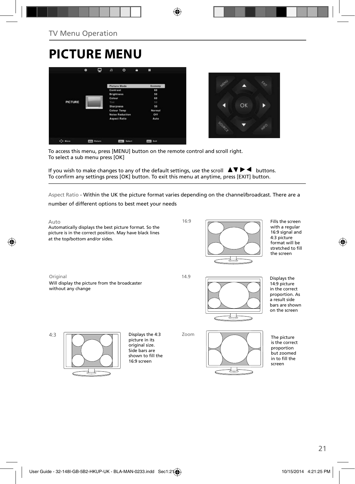# **PICTURE MENU**

![](_page_15_Picture_2.jpeg)

![](_page_15_Picture_3.jpeg)

To access this menu, press [MENU] button on the remote control and scroll right. To select a sub menu press [OK]

If you wish to make changes to any of the default settings, use the scroll  $\Box \blacktriangledown \blacktriangleright \blacktriangleleft$  buttons. To confirm any settings press [OK] button. To exit this menu at anytime, press [EXIT] button.

Aspect Ratio - Within the UK the picture format varies depending on the channel/broadcast. There are a

number of different options to best meet your needs

![](_page_15_Figure_8.jpeg)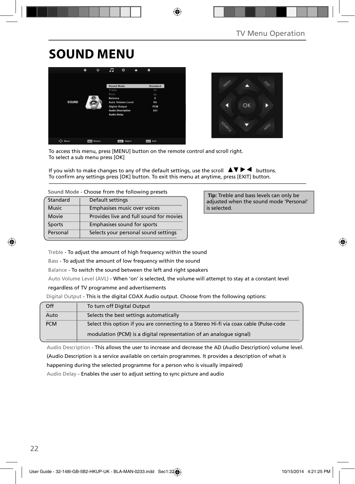# **SOUND MENU**

![](_page_16_Picture_2.jpeg)

![](_page_16_Picture_3.jpeg)

To access this menu, press [MENU] button on the remote control and scroll right. To select a sub menu press [OK]

If you wish to make changes to any of the default settings, use the scroll  $\blacktriangle \blacktriangledown \blacktriangleright \blacktriangleleft$  buttons. To confirm any settings press [OK] button. To exit this menu at anytime, press [EXIT] button.

| Sound Mode - Choose from the following presets |                                         |  |
|------------------------------------------------|-----------------------------------------|--|
| Standard                                       | Default settings                        |  |
| <b>Music</b>                                   | Emphasises music over voices            |  |
| Movie                                          | Provides live and full sound for movies |  |

| <b>Sports</b> | Emphasises sound for sports          |
|---------------|--------------------------------------|
| Personal      | Selects your personal sound settings |

 **Tip:** Treble and bass levels can only be adjusted when the sound mode 'Personal' is selected.

Treble - To adjust the amount of high frequency within the sound

Bass - To adjust the amount of low frequency within the sound

Balance - To switch the sound between the left and right speakers

Auto Volume Level (AVL) - When 'on' is selected, the volume will attempt to stay at a constant level

#### regardless of TV programme and advertisements

Digital Output - This is the digital COAX Audio output. Choose from the following options:

| Off        | To turn off Digital Output                                                            |
|------------|---------------------------------------------------------------------------------------|
| Auto       | Selects the best settings automatically                                               |
| <b>PCM</b> | Select this option if you are connecting to a Stereo Hi-fi via coax cable (Pulse-code |
|            | modulation (PCM) is a digital representation of an analogue signal)                   |

Audio Description - This allows the user to increase and decrease the AD (Audio Description) volume level.

(Audio Description is a service available on certain programmes. It provides a description of what is

happening during the selected programme for a person who is visually impaired)

Audio Delay - Enables the user to adjust setting to sync picture and audio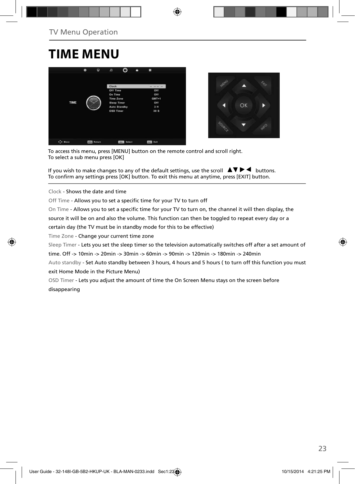# **TIME MENU**

![](_page_17_Picture_2.jpeg)

![](_page_17_Picture_3.jpeg)

To access this menu, press [MENU] button on the remote control and scroll right. To select a sub menu press [OK]

If you wish to make changes to any of the default settings, use the scroll  $\Box \blacktriangledown \blacktriangleright \blacktriangleleft$  buttons. To confirm any settings press [OK] button. To exit this menu at anytime, press [EXIT] button.

Clock - Shows the date and time

Off Time - Allows you to set a specific time for your TV to turn off

On Time - Allows you to set a specific time for your TV to turn on, the channel it will then display, the

source it will be on and also the volume. This function can then be toggled to repeat every day or a

certain day (the TV must be in standby mode for this to be effective)

Time Zone - Change your current time zone

Sleep Timer - Lets you set the sleep timer so the television automatically switches off after a set amount of

time. Off -> 10min -> 20min -> 30min -> 60min -> 90min -> 120min -> 180min -> 240min

Auto standby - Set Auto standby between 3 hours, 4 hours and 5 hours ( to turn off this function you must exit Home Mode in the Picture Menu)

OSD Timer - Lets you adjust the amount of time the On Screen Menu stays on the screen before disappearing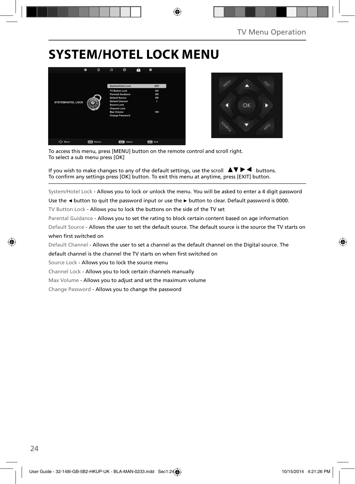# **SYSTEM/HOTEL LOCK MENU**

![](_page_18_Picture_2.jpeg)

![](_page_18_Picture_3.jpeg)

To access this menu, press [MENU] button on the remote control and scroll right. To select a sub menu press [OK]

If you wish to make changes to any of the default settings, use the scroll  $\blacktriangle \blacktriangledown \blacktriangleright \blacktriangleleft$  buttons. To confirm any settings press [OK] button. To exit this menu at anytime, press [EXIT] button.

System/Hotel Lock - Allows you to lock or unlock the menu. You will be asked to enter a 4 digit password

Use the **◄** button to quit the password input or use the **►** button to clear. Default password is 0000.

TV Button Lock - Allows you to lock the buttons on the side of the TV set

Parental Guidance - Allows you to set the rating to block certain content based on age information

Default Source - Allows the user to set the default source. The default source is the source the TV starts on when first switched on

Default Channel - Allows the user to set a channel as the default channel on the Digital source. The

default channel is the channel the TV starts on when first switched on

Source Lock - Allows you to lock the source menu

Channel Lock - Allows you to lock certain channels manually

Max Volume - Allows you to adjust and set the maximum volume

Change Password - Allows you to change the password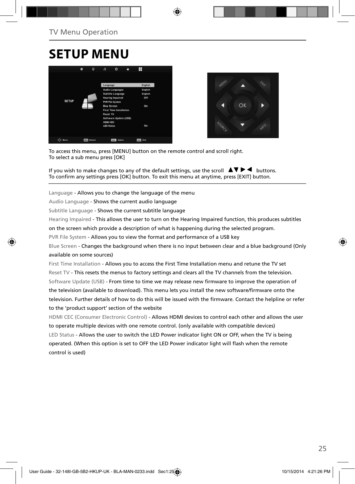## **SETUP MENU**

![](_page_19_Picture_2.jpeg)

![](_page_19_Picture_3.jpeg)

To access this menu, press [MENU] button on the remote control and scroll right. To select a sub menu press [OK]

If you wish to make changes to any of the default settings, use the scroll  $\blacktriangle \blacktriangledown \blacktriangleright \blacktriangleleft$  buttons. To confirm any settings press [OK] button. To exit this menu at anytime, press [EXIT] button.

Language - Allows you to change the language of the menu

Audio Language - Shows the current audio language

Subtitle Language - Shows the current subtitle language

Hearing Impaired - This allows the user to turn on the Hearing Impaired function, this produces subtitles

on the screen which provide a description of what is happening during the selected program.

PVR File System - Allows you to view the format and performance of a USB key

Blue Screen - Changes the background when there is no input between clear and a blue background (Only available on some sources)

First Time Installation - Allows you to access the First Time Installation menu and retune the TV set Reset TV - This resets the menus to factory settings and clears all the TV channels from the television. Software Update (USB) - From time to time we may release new firmware to improve the operation of the television (available to download). This menu lets you install the new software/firmware onto the television. Further details of how to do this will be issued with the firmware. Contact the helpline or refer to the 'product support' section of the website

HDMI CEC (Consumer Electronic Control) - Allows HDMI devices to control each other and allows the user to operate multiple devices with one remote control. (only available with compatible devices) LED Status - Allows the user to switch the LED Power indicator light ON or OFF, when the TV is being operated. (When this option is set to OFF the LED Power indicator light will flash when the remote control is used)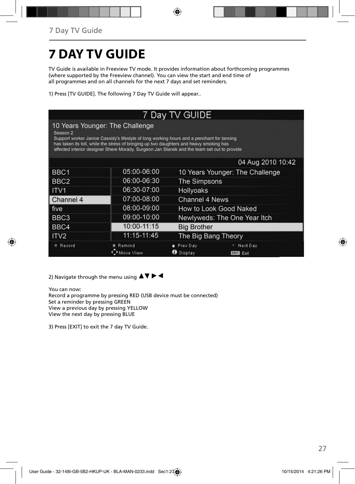# **7 DAY TV GUIDE**

TV Guide is available in Freeview TV mode. It provides information about forthcoming programmes (where supported by the Freeview channel). You can view the start and end time of all programmes and on all channels for the next 7 days and set reminders.

1) Press [TV GUIDE]. The following 7 Day TV Guide will appear..

| 7 Day TV GUIDE                                                                                                                                                                                                                                                                                                                      |                     |                          |                                 |  |
|-------------------------------------------------------------------------------------------------------------------------------------------------------------------------------------------------------------------------------------------------------------------------------------------------------------------------------------|---------------------|--------------------------|---------------------------------|--|
| 10 Years Younger: The Challenge<br>Season 2<br>Support worker Janice Cassidy's lifestyle of long working hours and a penchant for tanning<br>has taken its toll, while the stress of bringing up two daughters and heavy smoking has<br>affected interior designer Shere Morady. Surgeon Jan Stanek and the team set out to provide |                     |                          |                                 |  |
|                                                                                                                                                                                                                                                                                                                                     |                     |                          | 04 Aug 2010 10:42               |  |
| BBC <sub>1</sub>                                                                                                                                                                                                                                                                                                                    | 05:00-06:00         |                          | 10 Years Younger: The Challenge |  |
| BBC <sub>2</sub>                                                                                                                                                                                                                                                                                                                    | 06:00-06:30         | The Simpsons             |                                 |  |
| ITV1                                                                                                                                                                                                                                                                                                                                | 06:30-07:00         | <b>Hollyoaks</b>         |                                 |  |
| Channel 4                                                                                                                                                                                                                                                                                                                           | 07:00-08:00         | <b>Channel 4 News</b>    |                                 |  |
| five                                                                                                                                                                                                                                                                                                                                | 08:00-09:00         |                          | How to Look Good Naked          |  |
| BBC <sub>3</sub>                                                                                                                                                                                                                                                                                                                    | 09:00-10:00         |                          | Newlyweds: The One Year Itch    |  |
| BBC4                                                                                                                                                                                                                                                                                                                                | 10:00-11:15         | <b>Big Brother</b>       |                                 |  |
| ITV <sub>2</sub>                                                                                                                                                                                                                                                                                                                    | 11:15-11:45         | The Big Bang Theory      |                                 |  |
| Record                                                                                                                                                                                                                                                                                                                              | Remind<br>Move View | Prev Day<br>Display<br>ø | Next Day<br>Exit<br><b>EXIT</b> |  |

2) Navigate through the menu using  $\blacktriangle \blacktriangledown \blacktriangleright \blacktriangleleft$ 

You can now: Record a programme by pressing RED (USB device must be connected) Set a reminder by pressing GREEN View a previous day by pressing YELLOW View the next day by pressing BLUE

3) Press [EXIT] to exit the 7 day TV Guide.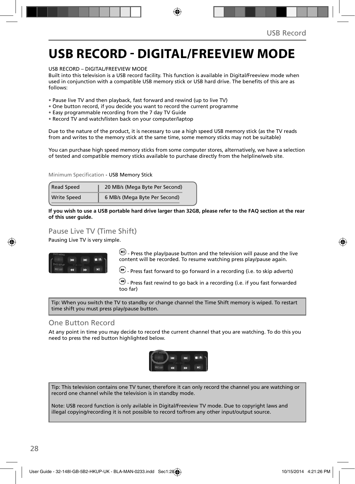## **USB RECORD - DIGITAL/FREEVIEW MODE**

USB RECORD – DIGITAL/FREEVIEW MODE

Built into this television is a USB record facility. This function is available in Digital/Freeview mode when used in conjunction with a compatible USB memory stick or USB hard drive. The benefits of this are as follows:

- Pause live TV and then playback, fast forward and rewind (up to live TV)
- One button record, if you decide you want to record the current programme
- Easy programmable recording from the 7 day TV Guide
- Record TV and watch/listen back on your computer/laptop

Due to the nature of the product, it is necessary to use a high speed USB memory stick (as the TV reads from and writes to the memory stick at the same time, some memory sticks may not be suitable)

You can purchase high speed memory sticks from some computer stores, alternatively, we have a selection of tested and compatible memory sticks available to purchase directly from the helpline/web site.

Minimum Specification - USB Memory Stick

| <b>Read Speed</b>  | 20 MB/s (Mega Byte Per Second) |
|--------------------|--------------------------------|
| <b>Write Speed</b> | 6 MB/s (Mega Byte Per Second)  |

**If you wish to use a USB portable hard drive larger than 32GB, please refer to the FAQ section at the rear of this user guide.**

### Pause Live TV (Time Shift)

Pausing Live TV is very simple.

![](_page_21_Picture_15.jpeg)

 $\Box$  Press the play/pause button and the television will pause and the live content will be recorded. To resume watching press play/pause again.

 $\bigcirc$  - Press fast forward to go forward in a recording (i.e. to skip adverts)

 $\bigcirc$  - Press fast rewind to go back in a recording (i.e. if you fast forwarded too far)

Tip: When you switch the TV to standby or change channel the Time Shift memory is wiped. To restart time shift you must press play/pause button.

### One Button Record

At any point in time you may decide to record the current channel that you are watching. To do this you need to press the red button highlighted below.

![](_page_21_Picture_22.jpeg)

Tip: This television contains one TV tuner, therefore it can only record the channel you are watching or record one channel while the television is in standby mode.

Note: USB record function is only avilable in Digital/Freeview TV mode. Due to copyright laws and illegal copying/recording it is not possible to record to/from any other input/output source.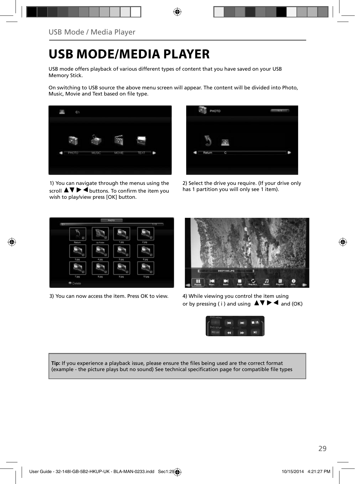# **USB MODE/MEDIA PLAYER**

USB mode offers playback of various different types of content that you have saved on your USB Memory Stick.

On switching to USB source the above menu screen will appear. The content will be divided into Photo, Music, Movie and Text based on file type.

![](_page_22_Picture_4.jpeg)

1) You can navigate through the menus using the scroll  $\triangle \triangledown \triangleright \blacktriangleleft$  buttons. To confirm the item you wish to play/view press [OK] button.

![](_page_22_Picture_6.jpeg)

2) Select the drive you require. (If your drive only has 1 partition you will only see 1 item).

![](_page_22_Picture_8.jpeg)

3) You can now access the item. Press OK to view. 4) While viewing you control the item using

![](_page_22_Picture_10.jpeg)

or by pressing ( i ) and using  $\Delta \nabla \blacktriangleright$   $\blacktriangle$  and (OK)

![](_page_22_Picture_12.jpeg)

Tip: If you experience a playback issue, please ensure the files being used are the correct format (example - the picture plays but no sound) See technical specification page for compatible file types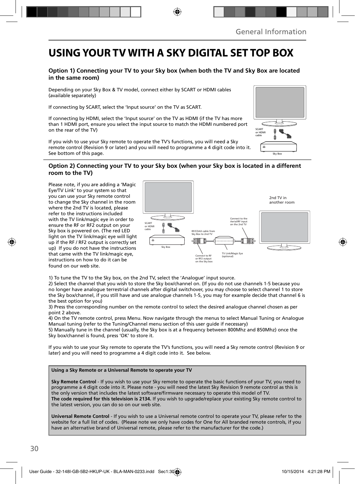## **USING YOUR TV WITH A SKY DIGITAL SET TOP BOX**

### **Option 1) Connecting your TV to your Sky box (when both the TV and Sky Box are located in the same room)**

Depending on your Sky Box & TV model, connect either by SCART or HDMI cables (available separately)

If connecting by SCART, select the 'Input source' on the TV as SCART.

If connecting by HDMI, select the 'Input source' on the TV as HDMI (if the TV has more than 1 HDMI port, ensure you select the input source to match the HDMI numbered port on the rear of the TV)

If you wish to use your Sky remote to operate the TV's functions, you will need a Sky remote control (Revision 9 or later) and you will need to programme a 4 digit code into it. See bottom of this page.

### **Option 2) Connecting your TV to your Sky box (when your Sky box is located in a different room to the TV)**

Please note, if you are adding a 'Magic Eye/TV Link' to your system so that you can use your Sky remote control to change the Sky channel in the room where the 2nd TV is located, please refer to the instructions included with the TV link/magic eye in order to ensure the RF or RF2 output on your Sky box is powered on. (The red LED light on the TV link/magic eye will light up if the RF / RF2 output is correctly set up) If you do not have the instructions that came with the TV link/magic eye, instructions on how to do it can be found on our web site.

![](_page_23_Figure_9.jpeg)

1) To tune the TV to the Sky box, on the 2nd TV, select the 'Analogue' input source.

2) Select the channel that you wish to store the Sky box/channel on. (If you do not use channels 1-5 because you no longer have analogue terrestrial channels after digital switchover, you may choose to select channel 1 to store the Sky box/channel, if you still have and use analogue channels 1-5, you may for example decide that channel 6 is the best option for you)

3) Press the corresponding number on the remote control to select the desired analogue channel chosen as per point 2 above.

4) On the TV remote control, press Menu. Now navigate through the menus to select Manual Tuning or Analogue Manual tuning (refer to the Tuning/Channel menu section of this user guide if necessary)

5) Manually tune in the channel (usually, the Sky box is at a frequency between 800Mhz and 850Mhz) once the Sky box/channel is found, press 'OK' to store it.

If you wish to use your Sky remote to operate the TV's functions, you will need a Sky remote control (Revision 9 or later) and you will need to programme a 4 digit code into it. See below.

#### **Using a Sky Remote or a Universal Remote to operate your TV**

**Sky Remote Control** - If you wish to use your Sky remote to operate the basic functions of your TV, you need to programme a 4 digit code into it. Please note - you will need the latest Sky Revision 9 remote control as this is the only version that includes the latest software/firmware necessary to operate this model of TV. **The code required for this television is 2134.** If you wish to upgrade/replace your existing Sky remote control to the latest version, you can do so on our web site.

**Universal Remote Control** - If you wish to use a Universal remote control to operate your TV, please refer to the website for a full list of codes. (Please note we only have codes for One for All branded remote controls, if you have an alternative brand of Universal remote, please refer to the manufacturer for the code.)

![](_page_23_Figure_19.jpeg)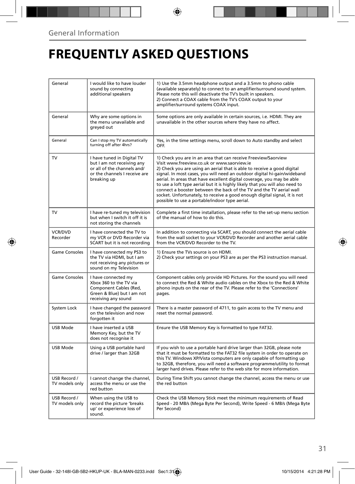# **FREQUENTLY ASKED QUESTIONS**

| General                        | I would like to have louder<br>sound by connecting<br>additional speakers                                                               | 1) Use the 3.5mm headphone output and a 3.5mm to phono cable<br>(available separately) to connect to an amplifier/surround sound system.<br>Please note this will deactivate the TV's built in speakers.<br>2) Connect a COAX cable from the TV's COAX output to your<br>amplifier/surround systems COAX input.                                                                                                                                                                                                                                                                                                                      |  |
|--------------------------------|-----------------------------------------------------------------------------------------------------------------------------------------|--------------------------------------------------------------------------------------------------------------------------------------------------------------------------------------------------------------------------------------------------------------------------------------------------------------------------------------------------------------------------------------------------------------------------------------------------------------------------------------------------------------------------------------------------------------------------------------------------------------------------------------|--|
| General                        | Why are some options in<br>the menu unavailable and<br>greyed out                                                                       | Some options are only available in certain sources, i.e. HDMI. They are<br>unavailable in the other sources where they have no affect.                                                                                                                                                                                                                                                                                                                                                                                                                                                                                               |  |
| General                        | Can I stop my TV automatically<br>turning off after 4hrs?                                                                               | Yes, in the time settings menu, scroll down to Auto standby and select<br>OFF.                                                                                                                                                                                                                                                                                                                                                                                                                                                                                                                                                       |  |
| TV                             | I have tuned in Digital TV<br>but I am not receiving any<br>or all of the channels and/<br>or the channels I receive are<br>breaking up | 1) Check you are in an area that can receive Freeview/Saorview<br>Visit www.freeview.co.uk or www.saorview.ie<br>2) Check you are using an aerial that is able to receive a good digital<br>signal. In most cases, you will need an outdoor digital hi-gain/wideband<br>aerial. In areas that have excellent digital coverage, you may be able<br>to use a loft type aerial but it is highly likely that you will also need to<br>connect a booster between the back of the TV and the TV aerial wall<br>socket. Unfortunately, to receive a good enough digital signal, it is not<br>possible to use a portable/indoor type aerial. |  |
| TV                             | I have re-tuned my television<br>but when I switch it off it is<br>not storing the channels                                             | Complete a first time installation, please refer to the set-up menu section<br>of the manual of how to do this.                                                                                                                                                                                                                                                                                                                                                                                                                                                                                                                      |  |
| <b>VCR/DVD</b><br>Recorder     | I have connected the TV to<br>my VCR or DVD Recorder via<br>SCART but it is not recording                                               | In addition to connecting via SCART, you should connect the aerial cable<br>from the wall socket to your VCR/DVD Recorder and another aerial cable<br>from the VCR/DVD Recorder to the TV.                                                                                                                                                                                                                                                                                                                                                                                                                                           |  |
| Game Consoles                  | I have connected my PS3 to<br>the TV via HDMI, but I am<br>not receiving any pictures or<br>sound on my Television                      | 1) Ensure the TVs source is on HDMI.<br>2) Check your settings on your PS3 are as per the PS3 instruction manual.                                                                                                                                                                                                                                                                                                                                                                                                                                                                                                                    |  |
| <b>Game Consoles</b>           | I have connected my<br>Xbox 360 to the TV via<br>Component Cables (Red,<br>Green & Blue) but I am not<br>receiving any sound            | Component cables only provide HD Pictures. For the sound you will need<br>to connect the Red & White audio cables on the Xbox to the Red & White<br>phono inputs on the rear of the TV. Please refer to the 'Connections'<br>pages.                                                                                                                                                                                                                                                                                                                                                                                                  |  |
| System Lock                    | I have changed the password<br>on the television and now<br>forgotten it                                                                | There is a master password of 4711, to gain access to the TV menu and<br>reset the normal password.                                                                                                                                                                                                                                                                                                                                                                                                                                                                                                                                  |  |
| <b>USB Mode</b>                | I have inserted a USB<br>Memory Key, but the TV<br>does not recognise it                                                                | Ensure the USB Memory Key is formatted to type FAT32.                                                                                                                                                                                                                                                                                                                                                                                                                                                                                                                                                                                |  |
| USB Mode                       | Using a USB portable hard<br>drive / larger than 32GB                                                                                   | If you wish to use a portable hard drive larger than 32GB, please note<br>that it must be formatted to the FAT32 file system in order to operate on<br>this TV. Windows XP/Vista computers are only capable of formatting up<br>to 32GB, therefore, you will need a software programme/utility to format<br>larger hard drives. Please refer to the web site for more information.                                                                                                                                                                                                                                                   |  |
| USB Record /<br>TV models only | I cannot change the channel,<br>access the menu or use the<br>red button                                                                | During Time Shift you cannot change the channel, access the menu or use<br>the red button                                                                                                                                                                                                                                                                                                                                                                                                                                                                                                                                            |  |
| USB Record /<br>TV models only | When using the USB to<br>record the picture 'breaks<br>up' or experience loss of<br>sound.                                              | Check the USB Memory Stick meet the minimum requirements of Read<br>Speed - 20 MB/s (Mega Byte Per Second), Write Speed - 6 MB/s (Mega Byte<br>Per Second)                                                                                                                                                                                                                                                                                                                                                                                                                                                                           |  |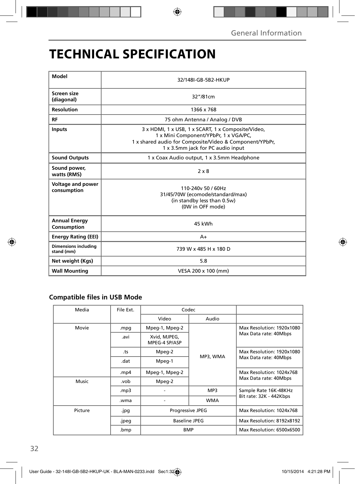# **TECHNICAL SPECIFICATION**

| Model                                     | 32/148I-GB-5B2-HKUP                                                                                                                                                                         |  |  |  |
|-------------------------------------------|---------------------------------------------------------------------------------------------------------------------------------------------------------------------------------------------|--|--|--|
| Screen size<br>(diagonal)                 | 32"/81cm                                                                                                                                                                                    |  |  |  |
| <b>Resolution</b>                         | 1366 x 768                                                                                                                                                                                  |  |  |  |
| RF                                        | 75 ohm Antenna / Analog / DVB                                                                                                                                                               |  |  |  |
| <b>Inputs</b>                             | 3 x HDMI, 1 x USB, 1 x SCART, 1 x Composite/Video,<br>1 x Mini Component/YPbPr, 1 x VGA/PC,<br>1 x shared audio for Composite/Video & Component/YPbPr,<br>1 x 3.5mm jack for PC audio input |  |  |  |
| <b>Sound Outputs</b>                      | 1 x Coax Audio output, 1 x 3.5mm Headphone                                                                                                                                                  |  |  |  |
| Sound power,<br>watts (RMS)               | $2 \times 8$                                                                                                                                                                                |  |  |  |
| <b>Voltage and power</b><br>consumption   | 110-240y 50 / 60Hz<br>31/45/70W (ecomode/standard/max)<br>(in standby less than 0.5w)<br>(0W in OFF mode)                                                                                   |  |  |  |
| <b>Annual Energy</b><br>Consumption       | 45 kWh                                                                                                                                                                                      |  |  |  |
| <b>Energy Rating (EEI)</b>                | $A+$                                                                                                                                                                                        |  |  |  |
| <b>Dimensions including</b><br>stand (mm) | 739 W x 485 H x 180 D                                                                                                                                                                       |  |  |  |
| Net weight (Kgs)                          | 5.8                                                                                                                                                                                         |  |  |  |
| <b>Wall Mounting</b>                      | VESA 200 x 100 (mm)                                                                                                                                                                         |  |  |  |

## **Compatible files in USB Mode**

| Media   | File Ext. | Codec                         |            |                                                    |
|---------|-----------|-------------------------------|------------|----------------------------------------------------|
|         |           | Video                         | Audio      |                                                    |
| Movie   | .mpg      | Mpeg-1, Mpeg-2                | MP3, WMA   | Max Resolution: 1920x1080<br>Max Data rate: 40Mbps |
|         | .avi      | Xvid, MJPEG,<br>MPEG-4 SP/ASP |            |                                                    |
|         | .ts       | Mpeg-2                        |            | Max Resolution: 1920x1080<br>Max Data rate: 40Mbps |
|         | .dat      | Mpeg-1                        |            |                                                    |
|         | .mp4      | Mpeg-1, Mpeg-2                |            | Max Resolution: 1024x768<br>Max Data rate: 40Mbps  |
| Music   | .vob      | Mpeg-2                        |            |                                                    |
|         | mp3.      |                               | MP3        | Sample Rate 16K-48KHz                              |
|         | .wma      |                               | <b>WMA</b> | Bit rate: 32K - 442Kbps                            |
| Picture | .jpg      | <b>Progressive JPEG</b>       |            | Max Resolution: 1024x768                           |
|         | .jpeg     | <b>Baseline JPEG</b>          |            | Max Resolution: 8192x8192                          |
|         | .bmp      | <b>BMP</b>                    |            | Max Resolution: 6500x6500                          |